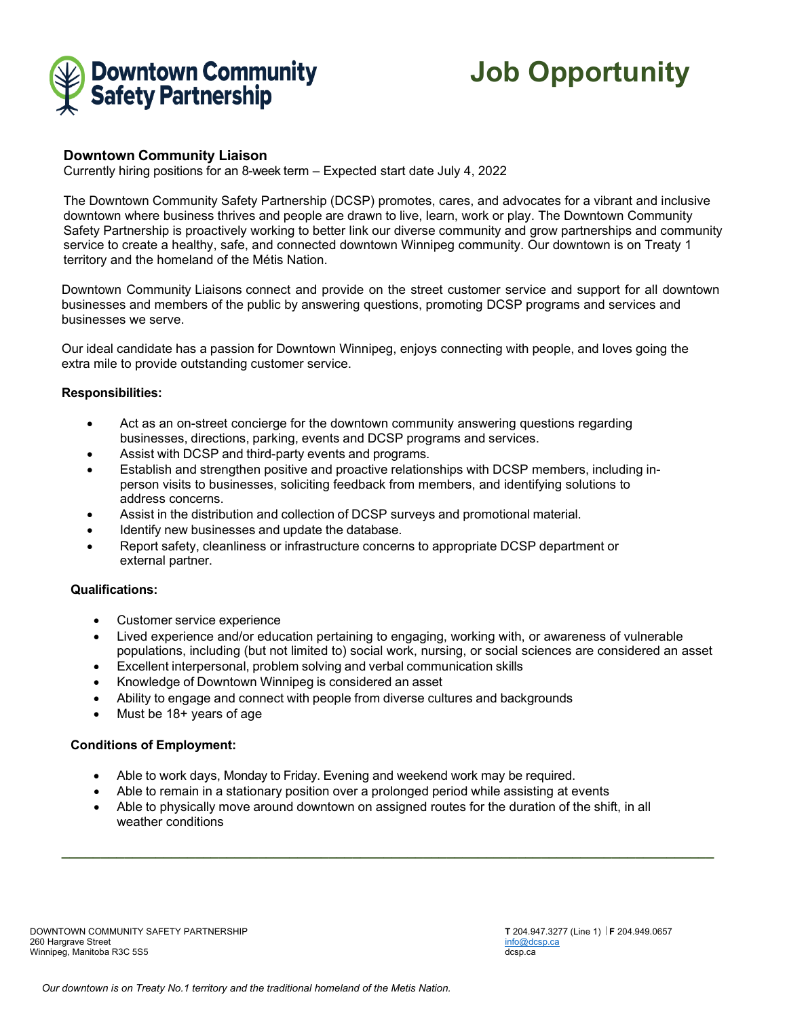

**Job Opportunity**

# **Downtown Community Liaison**

Currently hiring positions for an 8-week term – Expected start date July 4, 2022

The Downtown Community Safety Partnership (DCSP) promotes, cares, and advocates for a vibrant and inclusive downtown where business thrives and people are drawn to live, learn, work or play. The Downtown Community Safety Partnership is proactively working to better link our diverse community and grow partnerships and community service to create a healthy, safe, and connected downtown Winnipeg community. Our downtown is on Treaty 1 territory and the homeland of the Métis Nation.

Downtown Community Liaisons connect and provide on the street customer service and support for all downtown businesses and members of the public by answering questions, promoting DCSP programs and services and businesses we serve.

Our ideal candidate has a passion for Downtown Winnipeg, enjoys connecting with people, and loves going the extra mile to provide outstanding customer service.

### **Responsibilities:**

- Act as an on-street concierge for the downtown community answering questions regarding businesses, directions, parking, events and DCSP programs and services.
- Assist with DCSP and third-party events and programs.
- Establish and strengthen positive and proactive relationships with DCSP members, including inperson visits to businesses, soliciting feedback from members, and identifying solutions to address concerns.
- Assist in the distribution and collection of DCSP surveys and promotional material.
- Identify new businesses and update the database.
- Report safety, cleanliness or infrastructure concerns to appropriate DCSP department or external partner.

### **Qualifications:**

- Customer service experience
- Lived experience and/or education pertaining to engaging, working with, or awareness of vulnerable populations, including (but not limited to) social work, nursing, or social sciences are considered an asset
- Excellent interpersonal, problem solving and verbal communication skills
- Knowledge of Downtown Winnipeg is considered an asset
- Ability to engage and connect with people from diverse cultures and backgrounds
- Must be 18+ years of age

## **Conditions of Employment:**

- Able to work days, Monday to Friday. Evening and weekend work may be required.
- Able to remain in a stationary position over a prolonged period while assisting at events
- Able to physically move around downtown on assigned routes for the duration of the shift, in all weather conditions

**\_\_\_\_\_\_\_\_\_\_\_\_\_\_\_\_\_\_\_\_\_\_\_\_\_\_\_\_\_\_\_\_\_\_\_\_\_\_\_\_\_\_\_\_\_\_\_\_\_\_\_\_\_\_\_\_\_\_\_\_\_\_\_\_\_\_\_\_\_\_\_\_\_\_\_\_\_\_\_\_\_\_\_**